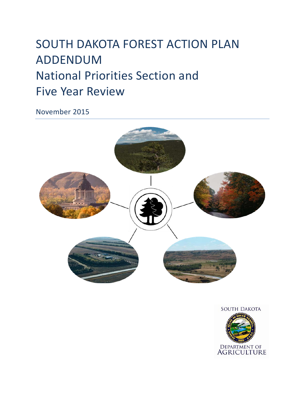# SOUTH DAKOTA FOREST ACTION PLAN ADDENDUM National Priorities Section and Five Year Review

November 2015



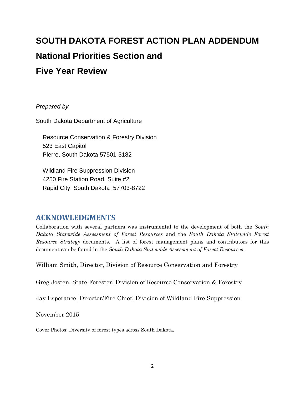# **SOUTH DAKOTA FOREST ACTION PLAN ADDENDUM National Priorities Section and Five Year Review**

#### *Prepared by*

South Dakota Department of Agriculture

Resource Conservation & Forestry Division 523 East Capitol Pierre, South Dakota 57501-3182

Wildland Fire Suppression Division 4250 Fire Station Road, Suite #2 Rapid City, South Dakota 57703-8722

### <span id="page-1-0"></span>**ACKNOWLEDGMENTS**

Collaboration with several partners was instrumental to the development of both the *South Dakota Statewide Assessment of Forest Resources* and the *South Dakota Statewide Forest Resource Strategy* documents. A list of forest management plans and contributors for this document can be found in the *South Dakota Statewide Assessment of Forest Resources*.

William Smith, Director, Division of Resource Conservation and Forestry

Greg Josten, State Forester, Division of Resource Conservation & Forestry

Jay Esperance, Director/Fire Chief, Division of Wildland Fire Suppression

November 2015

Cover Photos: Diversity of forest types across South Dakota.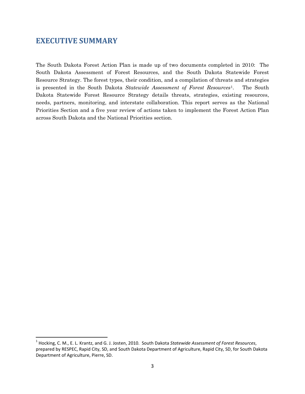### <span id="page-2-1"></span>**EXECUTIVE SUMMARY**

The South Dakota Forest Action Plan is made up of two documents completed in 2010: The South Dakota Assessment of Forest Resources, and the South Dakota Statewide Forest Resource Strategy. The forest types, their condition, and a compilation of threats and strategies is presented in the South Dakota *Statewide Assessment of Forest Resources*[1](#page-2-0). The South Dakota Statewide Forest Resource Strategy details threats, strategies, existing resources, needs, partners, monitoring, and interstate collaboration. This report serves as the National Priorities Section and a five year review of actions taken to implement the Forest Action Plan across South Dakota and the National Priorities section.

<span id="page-2-0"></span> <sup>1</sup> Hocking, C. M., E. L. Krantz, and G. J. Josten, 2010. South Dakota *Statewide Assessment of Forest Resources*, prepared by RESPEC, Rapid City, SD, and South Dakota Department of Agriculture, Rapid City, SD, for South Dakota Department of Agriculture, Pierre, SD.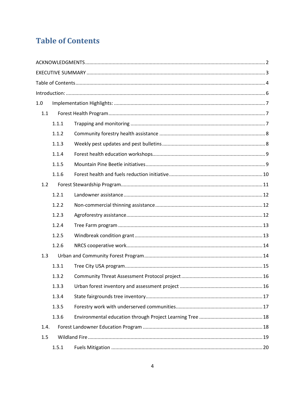## <span id="page-3-0"></span>**Table of Contents**

| 1.0  |       |  |  |  |  |  |  |  |  |
|------|-------|--|--|--|--|--|--|--|--|
| 1.1  |       |  |  |  |  |  |  |  |  |
|      | 1.1.1 |  |  |  |  |  |  |  |  |
|      | 1.1.2 |  |  |  |  |  |  |  |  |
|      | 1.1.3 |  |  |  |  |  |  |  |  |
|      | 1.1.4 |  |  |  |  |  |  |  |  |
|      | 1.1.5 |  |  |  |  |  |  |  |  |
|      | 1.1.6 |  |  |  |  |  |  |  |  |
| 1.2  |       |  |  |  |  |  |  |  |  |
|      | 1.2.1 |  |  |  |  |  |  |  |  |
|      | 1.2.2 |  |  |  |  |  |  |  |  |
|      | 1.2.3 |  |  |  |  |  |  |  |  |
|      | 1.2.4 |  |  |  |  |  |  |  |  |
|      | 1.2.5 |  |  |  |  |  |  |  |  |
|      | 1.2.6 |  |  |  |  |  |  |  |  |
| 1.3  |       |  |  |  |  |  |  |  |  |
|      | 1.3.1 |  |  |  |  |  |  |  |  |
|      | 1.3.2 |  |  |  |  |  |  |  |  |
|      | 1.3.3 |  |  |  |  |  |  |  |  |
|      | 1.3.4 |  |  |  |  |  |  |  |  |
|      | 1.3.5 |  |  |  |  |  |  |  |  |
|      | 1.3.6 |  |  |  |  |  |  |  |  |
| 1.4. |       |  |  |  |  |  |  |  |  |
| 1.5  |       |  |  |  |  |  |  |  |  |
|      | 1.5.1 |  |  |  |  |  |  |  |  |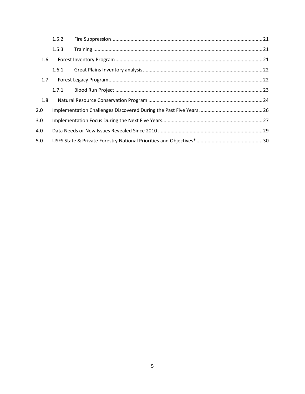|     | 1.5.2 |  |  |  |  |  |  |  |
|-----|-------|--|--|--|--|--|--|--|
|     | 1.5.3 |  |  |  |  |  |  |  |
| 1.6 |       |  |  |  |  |  |  |  |
|     | 1.6.1 |  |  |  |  |  |  |  |
| 1.7 |       |  |  |  |  |  |  |  |
|     | 1.7.1 |  |  |  |  |  |  |  |
| 1.8 |       |  |  |  |  |  |  |  |
| 2.0 |       |  |  |  |  |  |  |  |
| 3.0 |       |  |  |  |  |  |  |  |
| 4.0 |       |  |  |  |  |  |  |  |
| 5.0 |       |  |  |  |  |  |  |  |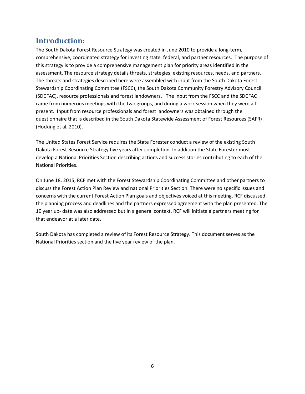### <span id="page-5-0"></span>**Introduction:**

The South Dakota Forest Resource Strategy was created in June 2010 to provide a long-term, comprehensive, coordinated strategy for investing state, federal, and partner resources. The purpose of this strategy is to provide a comprehensive management plan for priority areas identified in the assessment. The resource strategy details threats, strategies, existing resources, needs, and partners. The threats and strategies described here were assembled with input from the South Dakota Forest Stewardship Coordinating Committee (FSCC), the South Dakota Community Forestry Advisory Council (SDCFAC), resource professionals and forest landowners. The input from the FSCC and the SDCFAC came from numerous meetings with the two groups, and during a work session when they were all present. Input from resource professionals and forest landowners was obtained through the questionnaire that is described in the South Dakota Statewide Assessment of Forest Resources (SAFR) (Hocking et al, 2010).

The United States Forest Service requires the State Forester conduct a review of the existing South Dakota Forest Resource Strategy five years after completion. In addition the State Forester must develop a National Priorities Section describing actions and success stories contributing to each of the National Priorities.

On June 18, 2015, RCF met with the Forest Stewardship Coordinating Committee and other partners to discuss the Forest Action Plan Review and national Priorities Section. There were no specific issues and concerns with the current Forest Action Plan goals and objectives voiced at this meeting. RCF discussed the planning process and deadlines and the partners expressed agreement with the plan presented. The 10 year up- date was also addressed but in a general context. RCF will initiate a partners meeting for that endeavor at a later date.

South Dakota has completed a review of its Forest Resource Strategy. This document serves as the National Priorities section and the five year review of the plan.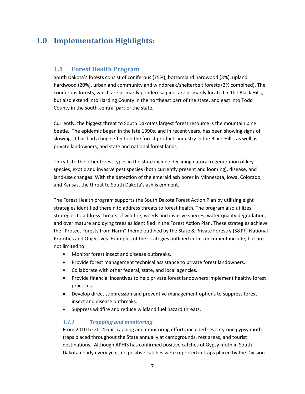### <span id="page-6-0"></span>**1.0 Implementation Highlights:**

#### <span id="page-6-1"></span>**1.1 Forest Health Program**

South Dakota's forests consist of coniferous (75%), bottomland hardwood (3%), upland hardwood (20%), urban and community and windbreak/shelterbelt forests (2% combined). The coniferous forests, which are primarily ponderosa pine, are primarily located in the Black Hills, but also extend into Harding County in the northeast part of the state, and east into Todd County in the south-central part of the state.

Currently, the biggest threat to South Dakota's largest forest resource is the mountain pine beetle. The epidemic began in the late 1990s, and in recent years, has been showing signs of slowing. It has had a huge effect on the forest products industry in the Black Hills, as well as private landowners, and state and national forest lands.

Threats to the other forest types in the state include declining natural regeneration of key species, exotic and invasive pest species (both currently present and looming), disease, and land-use changes. With the detection of the emerald ash borer in Minnesota, Iowa, Colorado, and Kansas, the threat to South Dakota's ash is eminent.

The Forest Health program supports the South Dakota Forest Action Plan by utilizing eight strategies identified therein to address threats to forest health. The program also utilizes strategies to address threats of wildfire, weeds and invasive species, water quality degradation, and over mature and dying trees as identified in the Forest Action Plan. These strategies achieve the "Protect Forests from Harm" theme outlined by the State & Private Forestry (S&PF) National Priorities and Objectives. Examples of the strategies outlined in this document include, but are not limited to:

- Monitor forest insect and disease outbreaks.
- Provide forest management technical assistance to private forest landowners.
- Collaborate with other federal, state, and local agencies.
- Provide financial incentives to help private forest landowners implement healthy forest practices.
- Develop direct suppression and preventive management options to suppress forest insect and disease outbreaks.
- Suppress wildfire and reduce wildland fuel hazard threats.

#### <span id="page-6-2"></span>*1.1.1 Trapping and monitoring*

From 2010 to 2014 our trapping and monitoring efforts included seventy-one gypsy moth traps placed throughout the State annually at campgrounds, rest areas, and tourist destinations. Although APHIS has confirmed positive catches of Gypsy moth in South Dakota nearly every year, no positive catches were reported in traps placed by the Division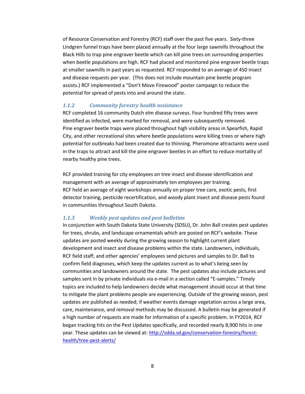of Resource Conservation and Forestry (RCF) staff over the past five years. Sixty-three Lindgren funnel traps have been placed annually at the four large sawmills throughout the Black Hills to trap pine engraver beetle which can kill pine trees on surrounding properties when beetle populations are high. RCF had placed and monitored pine engraver beetle traps at smaller sawmills in past years as requested. RCF responded to an average of 450 insect and disease requests per year. (This does not include mountain pine beetle program assists.) RCF implemented a "Don't Move Firewood" poster campaign to reduce the potential for spread of pests into and around the state.

#### <span id="page-7-0"></span>*1.1.2 Community forestry health assistance*

RCF completed 16 community Dutch elm disease surveys. Four hundred fifty trees were identified as infected, were marked for removal, and were subsequently removed. Pine engraver beetle traps were placed throughout high visibility areas in Spearfish, Rapid City, and other recreational sites where beetle populations were killing trees or where high potential for outbreaks had been created due to thinning. Pheromone attractants were used in the traps to attract and kill the pine engraver beetles in an effort to reduce mortality of nearby healthy pine trees.

RCF provided training for city employees on tree insect and disease identification and management with an average of approximately ten employees per training. RCF held an average of eight workshops annually on proper tree care, exotic pests, first detector training, pesticide recertification, and woody plant insect and disease pests found in communities throughout South Dakota.

#### <span id="page-7-1"></span>*1.1.3 Weekly pest updates and pest bulletins*

In conjunction with South Dakota State University (SDSU), Dr. John Ball creates pest updates for trees, shrubs, and landscape ornamentals which are posted on RCF's website. These updates are posted weekly during the growing season to highlight current plant development and insect and disease problems within the state. Landowners, individuals, RCF field staff, and other agencies' employees send pictures and samples to Dr. Ball to confirm field diagnoses, which keep the updates current as to what's being seen by communities and landowners around the state. The pest updates also include pictures and samples sent in by private individuals via e-mail in a section called "E-samples." Timely topics are included to help landowners decide what management should occur at that time to mitigate the plant problems people are experiencing. Outside of the growing season, pest updates are published as needed; if weather events damage vegetation across a large area, care, maintenance, and removal methods may be discussed. A bulletin may be generated if a high number of requests are made for information of a specific problem. In FY2014, RCF began tracking hits on the Pest Updates specifically, and recorded nearly 8,900 hits in one year. These updates can be viewed at: [http://sdda.sd.gov/conservation-forestry/forest](http://sdda.sd.gov/conservation-forestry/forest-health/tree-pest-alerts/)[health/tree-pest-alerts/](http://sdda.sd.gov/conservation-forestry/forest-health/tree-pest-alerts/)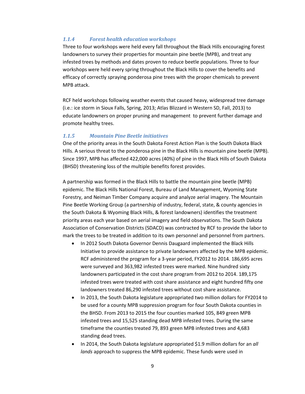#### <span id="page-8-0"></span>*1.1.4 Forest health education workshops*

Three to four workshops were held every fall throughout the Black Hills encouraging forest landowners to survey their properties for mountain pine beetle (MPB), and treat any infested trees by methods and dates proven to reduce beetle populations. Three to four workshops were held every spring throughout the Black Hills to cover the benefits and efficacy of correctly spraying ponderosa pine trees with the proper chemicals to prevent MPB attack.

RCF held workshops following weather events that caused heavy, widespread tree damage (i.e.: ice storm in Sioux Falls, Spring, 2013; Atlas Blizzard in Western SD, Fall, 2013) to educate landowners on proper pruning and management to prevent further damage and promote healthy trees.

#### <span id="page-8-1"></span>*1.1.5 Mountain Pine Beetle initiatives*

One of the priority areas in the South Dakota Forest Action Plan is the South Dakota Black Hills. A serious threat to the ponderosa pine in the Black Hills is mountain pine beetle (MPB). Since 1997, MPB has affected 422,000 acres (40%) of pine in the Black Hills of South Dakota (BHSD) threatening loss of the multiple benefits forest provides.

A partnership was formed in the Black Hills to battle the mountain pine beetle (MPB) epidemic. The Black Hills National Forest, Bureau of Land Management, Wyoming State Forestry, and Neiman Timber Company acquire and analyze aerial imagery. The Mountain Pine Beetle Working Group (a partnership of industry, federal, state, & county agencies in the South Dakota & Wyoming Black Hills, & forest landowners) identifies the treatment priority areas each year based on aerial imagery and field observations. The South Dakota Association of Conservation Districts (SDACD) was contracted by RCF to provide the labor to mark the trees to be treated in addition to its own personnel and personnel from partners.

- In 2012 South Dakota Governor Dennis Daugaard implemented the Black Hills Initiative to provide assistance to private landowners affected by the MPB epidemic. RCF administered the program for a 3-year period, FY2012 to 2014. 186,695 acres were surveyed and 363,982 infested trees were marked. Nine hundred sixty landowners participated in the cost share program from 2012 to 2014. 189,175 infested trees were treated with cost share assistance and eight hundred fifty one landowners treated 86,290 infested trees without cost share assistance.
- In 2013, the South Dakota legislature appropriated two million dollars for FY2014 to be used for a county MPB suppression program for four South Dakota counties in the BHSD. From 2013 to 2015 the four counties marked 105, 849 green MPB infested trees and 15,525 standing dead MPB infested trees. During the same timeframe the counties treated 79, 893 green MPB infested trees and 4,683 standing dead trees.
- In 2014, the South Dakota legislature appropriated \$1.9 million dollars for an *all lands* approach to suppress the MPB epidemic. These funds were used in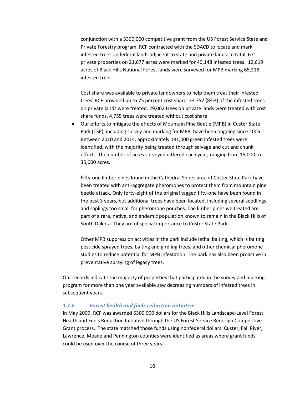conjunction with a \$300,000 competitive grant from the US Forest Service State and Private Forestry program. RCF contracted with the SDACD to locate and mark infested trees on federal lands adjacent to state and private lands. In total, 671 private properties on 21,677 acres were marked for 40,148 infested trees. 12,619 acres of Black Hills National Forest lands were surveyed for MPB marking 65,218 infested trees.

Cost share was available to private landowners to help them treat their infested trees. RCF provided up to 75 percent cost share. 33,757 (84%) of the infested trees on private lands were treated. 29,002 trees on private lands were treated with cost share funds. 4,755 trees were treated without cost share.

• Our efforts to mitigate the effects of Mountain Pine Beetle (MPB) in Custer State Park (CSP), including survey and marking for MPB, have been ongoing since 2005. Between 2010 and 2014, approximately 181,000 green infested trees were identified, with the majority being treated through salvage and cut and chunk efforts. The number of acres surveyed differed each year, ranging from 15,000 to 35,000 acres.

Fifty-one limber pines found in the Cathedral Spires area of Custer State Park have been treated with anti-aggregate pheromones to protect them from mountain pine beetle attack. Only forty-eight of the original tagged fifty-one have been found in the past 3 years, but additional trees have been located, including several seedlings and saplings too small for pheromone pouches. The limber pines we treated are part of a rare, native, and endemic population known to remain in the Black Hills of South Dakota. They are of special importance to Custer State Park.

Other MPB suppression activities in the park include lethal baiting, which is baiting pesticide sprayed trees, baiting and girdling trees, and other chemical pheromone studies to reduce potential for MPB infestation. The park has also been proactive in preventative spraying of legacy trees.

Our records indicate the majority of properties that participated in the survey and marking program for more than one year available saw decreasing numbers of infested trees in subsequent years.

#### <span id="page-9-0"></span>*1.1.6 Forest health and fuels reduction initiative*

In May 2009, RCF was awarded \$300,000 dollars for the Black Hills Landscape-Level Forest Health and Fuels Reduction Initiative through the US Forest Service Redesign Competitive Grant process. The state matched those funds using nonfederal dollars. Custer, Fall River, Lawrence, Meade and Pennington counties were identified as areas where grant funds could be used over the course of three years.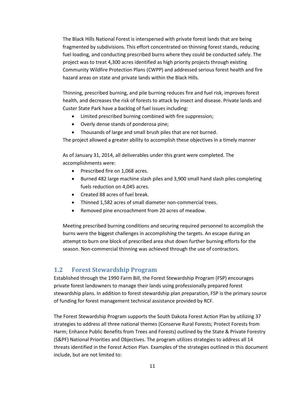The Black Hills National Forest is interspersed with private forest lands that are being fragmented by subdivisions. This effort concentrated on thinning forest stands, reducing fuel loading, and conducting prescribed burns where they could be conducted safely. The project was to treat 4,300 acres identified as high priority projects through existing Community Wildfire Protection Plans (CWPP) and addressed serious forest health and fire hazard areas on state and private lands within the Black Hills.

Thinning, prescribed burning, and pile burning reduces fire and fuel risk, improves forest health, and decreases the risk of forests to attack by insect and disease. Private lands and Custer State Park have a backlog of fuel issues including:

- Limited prescribed burning combined with fire suppression;
- Overly dense stands of ponderosa pine;
- Thousands of large and small brush piles that are not burned.

The project allowed a greater ability to accomplish these objectives in a timely manner

As of January 31, 2014, all deliverables under this grant were completed. The accomplishments were:

- Prescribed fire on 1,068 acres.
- Burned 482 large machine slash piles and 3,900 small hand slash piles completing fuels reduction on 4,045 acres.
- Created 88 acres of fuel break.
- Thinned 1,582 acres of small diameter non-commercial trees.
- Removed pine encroachment from 20 acres of meadow.

Meeting prescribed burning conditions and securing required personnel to accomplish the burns were the biggest challenges in accomplishing the targets. An escape during an attempt to burn one block of prescribed area shut down further burning efforts for the season. Non-commercial thinning was achieved through the use of contractors.

#### <span id="page-10-0"></span>**1.2 Forest Stewardship Program**

Established through the 1990 Farm Bill, the Forest Stewardship Program (FSP) encourages private forest landowners to manage their lands using professionally prepared forest stewardship plans. In addition to forest stewardship plan preparation, FSP is the primary source of funding for forest management technical assistance provided by RCF.

The Forest Stewardship Program supports the South Dakota Forest Action Plan by utilizing 37 strategies to address all three national themes (Conserve Rural Forests; Protect Forests from Harm; Enhance Public Benefits from Trees and Forests) outlined by the State & Private Forestry (S&PF) National Priorities and Objectives. The program utilizes strategies to address all 14 threats identified in the Forest Action Plan. Examples of the strategies outlined in this document include, but are not limited to: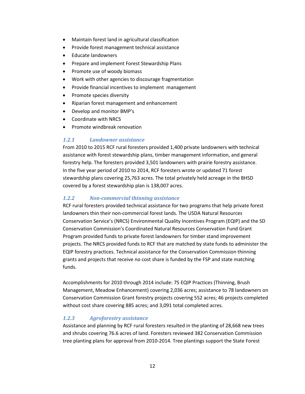- Maintain forest land in agricultural classification
- Provide forest management technical assistance
- Educate landowners
- Prepare and implement Forest Stewardship Plans
- Promote use of woody biomass
- Work with other agencies to discourage fragmentation
- Provide financial incentives to implement management
- Promote species diversity
- Riparian forest management and enhancement
- Develop and monitor BMP's
- Coordinate with NRCS
- <span id="page-11-0"></span>• Promote windbreak renovation

#### *1.2.1 Landowner assistance*

From 2010 to 2015 RCF rural foresters provided 1,400 private landowners with technical assistance with forest stewardship plans, timber management information, and general forestry help. The foresters provided 3,501 landowners with prairie forestry assistance. In the five year period of 2010 to 2014, RCF foresters wrote or updated 71 forest stewardship plans covering 25,763 acres. The total privately held acreage in the BHSD covered by a forest stewardship plan is 138,007 acres.

#### <span id="page-11-1"></span>*1.2.2 Non-commercial thinning assistance*

RCF rural foresters provided technical assistance for two programs that help private forest landowners thin their non-commercial forest lands. The USDA Natural Resources Conservation Service's (NRCS) Environmental Quality Incentives Program (EQIP) and the SD Conservation Commission's Coordinated Natural Resources Conservation Fund Grant Program provided funds to private forest landowners for timber stand improvement projects. The NRCS provided funds to RCF that are matched by state funds to administer the EQIP forestry practices. Technical assistance for the Conservation Commission thinning grants and projects that receive no cost share is funded by the FSP and state matching funds.

Accomplishments for 2010 through 2014 include: 75 EQIP Practices (Thinning, Brush Management, Meadow Enhancement) covering 2,036 acres; assistance to 78 landowners on Conservation Commission Grant forestry projects covering 552 acres; 46 projects completed without cost share covering 885 acres; and 3,091 total completed acres.

#### <span id="page-11-2"></span>*1.2.3 Agroforestry assistance*

Assistance and planning by RCF rural foresters resulted in the planting of 28,668 new trees and shrubs covering 76.6 acres of land. Foresters reviewed 382 Conservation Commission tree planting plans for approval from 2010-2014. Tree plantings support the State Forest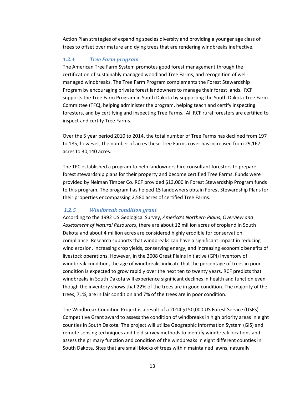Action Plan strategies of expanding species diversity and providing a younger age class of trees to offset over mature and dying trees that are rendering windbreaks ineffective.

#### <span id="page-12-0"></span>*1.2.4 Tree Farm program*

The American Tree Farm System promotes good forest management through the certification of sustainably managed woodland Tree Farms, and recognition of wellmanaged windbreaks. The Tree Farm Program complements the Forest Stewardship Program by encouraging private forest landowners to manage their forest lands. RCF supports the Tree Farm Program in South Dakota by supporting the South Dakota Tree Farm Committee (TFC), helping administer the program, helping teach and certify inspecting foresters, and by certifying and inspecting Tree Farms. All RCF rural foresters are certified to inspect and certify Tree Farms.

Over the 5 year period 2010 to 2014, the total number of Tree Farms has declined from 197 to 185; however, the number of acres these Tree Farms cover has increased from 29,167 acres to 30,140 acres.

The TFC established a program to help landowners hire consultant foresters to prepare forest stewardship plans for their property and become certified Tree Farms. Funds were provided by Neiman Timber Co. RCF provided \$13,000 in Forest Stewardship Program funds to this program. The program has helped 15 landowners obtain Forest Stewardship Plans for their properties encompassing 2,580 acres of certified Tree Farms.

#### <span id="page-12-1"></span>*1.2.5 Windbreak condition grant*

According to the 1992 US Geological Survey, *America's Northern Plains, Overview and Assessment of Natural Resources*, there are about 12 million acres of cropland in South Dakota and about 4 million acres are considered highly erodible for conservation compliance. Research supports that windbreaks can have a significant impact in reducing wind erosion, increasing crop yields, conserving energy, and increasing economic benefits of livestock operations. However, in the 2008 Great Plains Initiative (GPI) inventory of windbreak condition, the age of windbreaks indicate that the percentage of trees in poor condition is expected to grow rapidly over the next ten to twenty years. RCF predicts that windbreaks in South Dakota will experience significant declines in health and function even though the inventory shows that 22% of the trees are in good condition. The majority of the trees, 71%, are in fair condition and 7% of the trees are in poor condition.

The Windbreak Condition Project is a result of a 2014 \$150,000 US Forest Service (USFS) Competitive Grant award to assess the condition of windbreaks in high priority areas in eight counties in South Dakota. The project will utilize Geographic Information System (GIS) and remote sensing techniques and field survey methods to identify windbreak locations and assess the primary function and condition of the windbreaks in eight different counties in South Dakota. Sites that are small blocks of trees within maintained lawns, naturally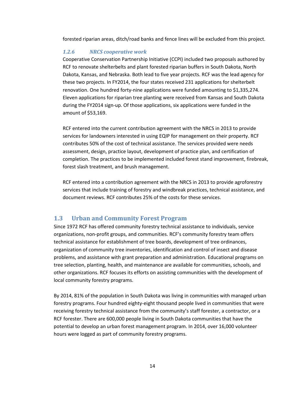<span id="page-13-0"></span>forested riparian areas, ditch/road banks and fence lines will be excluded from this project.

#### *1.2.6 NRCS cooperative work*

Cooperative Conservation Partnership Initiative (CCPI) included two proposals authored by RCF to renovate shelterbelts and plant forested riparian buffers in South Dakota, North Dakota, Kansas, and Nebraska. Both lead to five year projects. RCF was the lead agency for these two projects. In FY2014, the four states received 231 applications for shelterbelt renovation. One hundred forty-nine applications were funded amounting to \$1,335,274. Eleven applications for riparian tree planting were received from Kansas and South Dakota during the FY2014 sign-up. Of those applications, six applications were funded in the amount of \$53,169.

RCF entered into the current contribution agreement with the NRCS in 2013 to provide services for landowners interested in using EQIP for management on their property. RCF contributes 50% of the cost of technical assistance. The services provided were needs assessment, design, practice layout, development of practice plan, and certification of completion. The practices to be implemented included forest stand improvement, firebreak, forest slash treatment, and brush management.

RCF entered into a contribution agreement with the NRCS in 2013 to provide agroforestry services that include training of forestry and windbreak practices, technical assistance, and document reviews. RCF contributes 25% of the costs for these services.

#### <span id="page-13-1"></span>**1.3 Urban and Community Forest Program**

Since 1972 RCF has offered community forestry technical assistance to individuals, service organizations, non-profit groups, and communities. RCF's community forestry team offers technical assistance for establishment of tree boards, development of tree ordinances, organization of community tree inventories, identification and control of insect and disease problems, and assistance with grant preparation and administration. Educational programs on tree selection, planting, health, and maintenance are available for communities, schools, and other organizations. RCF focuses its efforts on assisting communities with the development of local community forestry programs.

By 2014, 81% of the population in South Dakota was living in communities with managed urban forestry programs. Four hundred eighty-eight thousand people lived in communities that were receiving forestry technical assistance from the community's staff forester, a contractor, or a RCF forester. There are 600,000 people living in South Dakota communities that have the potential to develop an urban forest management program. In 2014, over 16,000 volunteer hours were logged as part of community forestry programs.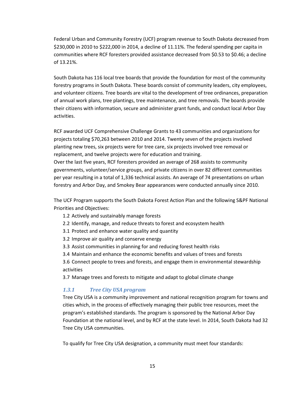Federal Urban and Community Forestry (UCF) program revenue to South Dakota decreased from \$230,000 in 2010 to \$222,000 in 2014, a decline of 11.11%. The federal spending per capita in communities where RCF foresters provided assistance decreased from \$0.53 to \$0.46; a decline of 13.21%.

South Dakota has 116 local tree boards that provide the foundation for most of the community forestry programs in South Dakota. These boards consist of community leaders, city employees, and volunteer citizens. Tree boards are vital to the development of tree ordinances, preparation of annual work plans, tree plantings, tree maintenance, and tree removals. The boards provide their citizens with information, secure and administer grant funds, and conduct local Arbor Day activities.

RCF awarded UCF Comprehensive Challenge Grants to 43 communities and organizations for projects totaling \$70,263 between 2010 and 2014. Twenty seven of the projects involved planting new trees, six projects were for tree care, six projects involved tree removal or replacement, and twelve projects were for education and training.

Over the last five years, RCF foresters provided an average of 268 assists to community governments, volunteer/service groups, and private citizens in over 82 different communities per year resulting in a total of 1,336 technical assists. An average of 74 presentations on urban forestry and Arbor Day, and Smokey Bear appearances were conducted annually since 2010.

The UCF Program supports the South Dakota Forest Action Plan and the following S&PF National Priorities and Objectives:

- 1.2 Actively and sustainably manage forests
- 2.2 Identify, manage, and reduce threats to forest and ecosystem health
- 3.1 Protect and enhance water quality and quantity
- 3.2 Improve air quality and conserve energy
- 3.3 Assist communities in planning for and reducing forest health risks
- 3.4 Maintain and enhance the economic benefits and values of trees and forests

3.6 Connect people to trees and forests, and engage them in environmental stewardship activities

<span id="page-14-0"></span>3.7 Manage trees and forests to mitigate and adapt to global climate change

#### *1.3.1 Tree City USA program*

Tree City USA is a community improvement and national recognition program for towns and cities which, in the process of effectively managing their public tree resources, meet the program's established standards. The program is sponsored by the National Arbor Day Foundation at the national level, and by RCF at the state level. In 2014, South Dakota had 32 Tree City USA communities.

To qualify for Tree City USA designation, a community must meet four standards: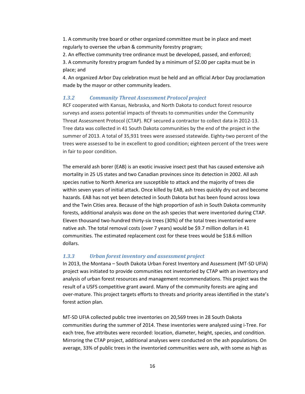1. A community tree board or other organized committee must be in place and meet regularly to oversee the urban & community forestry program;

2. An effective community tree ordinance must be developed, passed, and enforced;

3. A community forestry program funded by a minimum of \$2.00 per capita must be in place; and

4. An organized Arbor Day celebration must be held and an official Arbor Day proclamation made by the mayor or other community leaders.

#### <span id="page-15-0"></span>*1.3.2 Community Threat Assessment Protocol project*

RCF cooperated with Kansas, Nebraska, and North Dakota to conduct forest resource surveys and assess potential impacts of threats to communities under the Community Threat Assessment Protocol (CTAP). RCF secured a contractor to collect data in 2012-13. Tree data was collected in 41 South Dakota communities by the end of the project in the summer of 2013. A total of 35,931 trees were assessed statewide. Eighty-two percent of the trees were assessed to be in excellent to good condition; eighteen percent of the trees were in fair to poor condition.

The emerald ash borer (EAB) is an exotic invasive insect pest that has caused extensive ash mortality in 25 US states and two Canadian provinces since its detection in 2002. All ash species native to North America are susceptible to attack and the majority of trees die within seven years of initial attack. Once killed by EAB, ash trees quickly dry out and become hazards. EAB has not yet been detected in South Dakota but has been found across Iowa and the Twin Cities area. Because of the high proportion of ash in South Dakota community forests, additional analysis was done on the ash species that were inventoried during CTAP. Eleven thousand two-hundred thirty-six trees (30%) of the total trees inventoried were native ash. The total removal costs (over 7 years) would be \$9.7 million dollars in 41 communities. The estimated replacement cost for these trees would be \$18.6 million dollars.

#### <span id="page-15-1"></span>*1.3.3 Urban forest inventory and assessment project*

In 2013, the Montana – South Dakota Urban Forest Inventory and Assessment (MT-SD UFIA) project was initiated to provide communities not inventoried by CTAP with an inventory and analysis of urban forest resources and management recommendations. This project was the result of a USFS competitive grant award. Many of the community forests are aging and over-mature. This project targets efforts to threats and priority areas identified in the state's forest action plan.

MT-SD UFIA collected public tree inventories on 20,569 trees in 28 South Dakota communities during the summer of 2014. These inventories were analyzed using i-Tree. For each tree, five attributes were recorded: location, diameter, height, species, and condition. Mirroring the CTAP project, additional analyses were conducted on the ash populations. On average, 33% of public trees in the inventoried communities were ash, with some as high as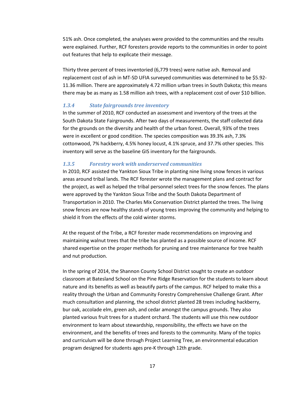51% ash. Once completed, the analyses were provided to the communities and the results were explained. Further, RCF foresters provide reports to the communities in order to point out features that help to explicate their message.

Thirty three percent of trees inventoried (6,779 trees) were native ash. Removal and replacement cost of ash in MT-SD UFIA surveyed communities was determined to be \$5.92- 11.36 million. There are approximately 4.72 million urban trees in South Dakota; this means there may be as many as 1.58 million ash trees, with a replacement cost of over \$10 billion.

#### <span id="page-16-0"></span>*1.3.4 State fairgrounds tree inventory*

In the summer of 2010, RCF conducted an assessment and inventory of the trees at the South Dakota State Fairgrounds. After two days of measurements, the staff collected data for the grounds on the diversity and health of the urban forest. Overall, 93% of the trees were in excellent or good condition. The species composition was 39.3% ash, 7.3% cottonwood, 7% hackberry, 4.5% honey locust, 4.1% spruce, and 37.7% other species. This inventory will serve as the baseline GIS inventory for the fairgrounds.

#### <span id="page-16-1"></span>*1.3.5 Forestry work with underserved communities*

In 2010, RCF assisted the Yankton Sioux Tribe in planting nine living snow fences in various areas around tribal lands. The RCF forester wrote the management plans and contract for the project, as well as helped the tribal personnel select trees for the snow fences. The plans were approved by the Yankton Sioux Tribe and the South Dakota Department of Transportation in 2010. The Charles Mix Conservation District planted the trees. The living snow fences are now healthy stands of young trees improving the community and helping to shield it from the effects of the cold winter storms.

At the request of the Tribe, a RCF forester made recommendations on improving and maintaining walnut trees that the tribe has planted as a possible source of income. RCF shared expertise on the proper methods for pruning and tree maintenance for tree health and nut production.

In the spring of 2014, the Shannon County School District sought to create an outdoor classroom at Batesland School on the Pine Ridge Reservation for the students to learn about nature and its benefits as well as beautify parts of the campus. RCF helped to make this a reality through the Urban and Community Forestry Comprehensive Challenge Grant. After much consultation and planning, the school district planted 28 trees including hackberry, bur oak, accolade elm, green ash, and cedar amongst the campus grounds. They also planted various fruit trees for a student orchard. The students will use this new outdoor environment to learn about stewardship, responsibility, the effects we have on the environment, and the benefits of trees and forests to the community. Many of the topics and curriculum will be done through Project Learning Tree, an environmental education program designed for students ages pre-K through 12th grade.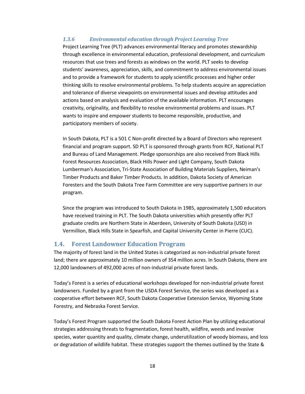#### <span id="page-17-0"></span>*1.3.6 Environmental education through Project Learning Tree*

Project Learning Tree (PLT) advances environmental literacy and promotes stewardship through excellence in environmental education, professional development, and curriculum resources that use trees and forests as windows on the world. PLT seeks to develop students' awareness, appreciation, skills, and commitment to address environmental issues and to provide a framework for students to apply scientific processes and higher order thinking skills to resolve environmental problems. To help students acquire an appreciation and tolerance of diverse viewpoints on environmental issues and develop attitudes and actions based on analysis and evaluation of the available information. PLT encourages creativity, originality, and flexibility to resolve environmental problems and issues. PLT wants to inspire and empower students to become responsible, productive, and participatory members of society.

In South Dakota, PLT is a 501 C Non-profit directed by a Board of Directors who represent financial and program support. SD PLT is sponsored through grants from RCF, National PLT and Bureau of Land Management. Pledge sponsorships are also received from Black Hills Forest Resources Association, Black Hills Power and Light Company, South Dakota Lumberman's Association, Tri-State Association of Building Materials Suppliers, Neiman's Timber Products and Baker Timber Products. In addition, Dakota Society of American Foresters and the South Dakota Tree Farm Committee are very supportive partners in our program.

Since the program was introduced to South Dakota in 1985, approximately 1,500 educators have received training in PLT. The South Dakota universities which presently offer PLT graduate credits are Northern State in Aberdeen, University of South Dakota (USD) in Vermillion, Black Hills State in Spearfish, and Capital University Center in Pierre (CUC).

#### <span id="page-17-1"></span>**1.4. Forest Landowner Education Program**

The majority of forest land in the United States is categorized as non-industrial private forest land; there are approximately 10 million owners of 354 million acres. In South Dakota, there are 12,000 landowners of 492,000 acres of non-industrial private forest lands.

Today's Forest is a series of educational workshops developed for non-industrial private forest landowners. Funded by a grant from the USDA Forest Service, the series was developed as a cooperative effort between RCF, South Dakota Cooperative Extension Service, Wyoming State Forestry, and Nebraska Forest Service.

Today's Forest Program supported the South Dakota Forest Action Plan by utilizing educational strategies addressing threats to fragmentation, forest health, wildfire, weeds and invasive species, water quantity and quality, climate change, underutilization of woody biomass, and loss or degradation of wildlife habitat. These strategies support the themes outlined by the State &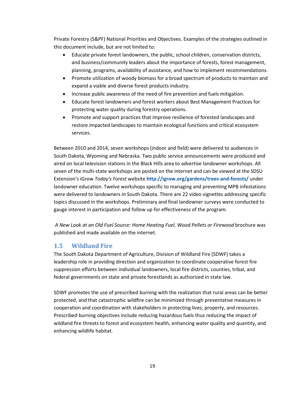Private Forestry (S&PF) National Priorities and Objectives. Examples of the strategies outlined in this document include, but are not limited to:

- Educate private forest landowners, the public, school children, conservation districts, and business/community leaders about the importance of forests, forest management, planning, programs, availability of assistance, and how to implement recommendations.
- Promote utilization of woody biomass for a broad spectrum of products to maintain and expand a viable and diverse forest products industry.
- Increase public awareness of the need of fire prevention and fuels mitigation.
- Educate forest landowners and forest workers about Best Management Practices for protecting water quality during forestry operations.
- Promote and support practices that improve resilience of forested landscapes and restore impacted landscapes to maintain ecological functions and critical ecosystem services.

Between 2010 and 2014, seven workshops (indoor and field) were delivered to audiences in South Dakota, Wyoming and Nebraska. Two public service announcements were produced and aired on local television stations in the Black Hills area to advertise landowner workshops. All seven of the multi-state workshops are posted on the internet and can be viewed at the SDSU Extension's iGrow *Today's Forest* website **http://igrow.org/gardens/trees-and-forests/** under landowner education. Twelve workshops specific to managing and preventing MPB infestations were delivered to landowners in South Dakota. There are 22 video vignettes addressing specific topics discussed in the workshops. Preliminary and final landowner surveys were conducted to gauge interest in participation and follow up for effectiveness of the program.

*A New Look at an Old Fuel Source: Home Heating Fuel, Wood Pellets or Firewood* brochure was published and made available on the internet.

### <span id="page-18-0"></span>**1.5 Wildland Fire**

The South Dakota Department of Agriculture, Division of Wildland Fire (SDWF) takes a leadership role in providing direction and organization to coordinate cooperative forest fire suppression efforts between individual landowners, local fire districts, counties, tribal, and federal governments on state and private forestlands as authorized in state law.

SDWF promotes the use of prescribed burning with the realization that rural areas can be better protected, and that catastrophic wildfire can be minimized through preventative measures in cooperation and coordination with stakeholders in protecting lives, property, and resources. Prescribed burning objectives include reducing hazardous fuels thus reducing the impact of wildland fire threats to forest and ecosystem health, enhancing water quality and quantity, and enhancing wildlife habitat.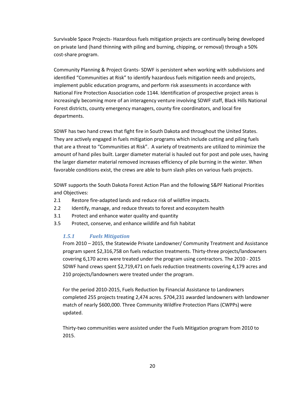Survivable Space Projects- Hazardous fuels mitigation projects are continually being developed on private land (hand thinning with piling and burning, chipping, or removal) through a 50% cost-share program.

Community Planning & Project Grants- SDWF is persistent when working with subdivisions and identified "Communities at Risk" to identify hazardous fuels mitigation needs and projects, implement public education programs, and perform risk assessments in accordance with National Fire Protection Association code 1144. Identification of prospective project areas is increasingly becoming more of an interagency venture involving SDWF staff, Black Hills National Forest districts, county emergency managers, county fire coordinators, and local fire departments.

SDWF has two hand crews that fight fire in South Dakota and throughout the United States. They are actively engaged in fuels mitigation programs which include cutting and piling fuels that are a threat to "Communities at Risk". A variety of treatments are utilized to minimize the amount of hand piles built. Larger diameter material is hauled out for post and pole uses, having the larger diameter material removed increases efficiency of pile burning in the winter. When favorable conditions exist, the crews are able to burn slash piles on various fuels projects.

SDWF supports the South Dakota Forest Action Plan and the following S&PF National Priorities and Objectives:

- 2.1 Restore fire-adapted lands and reduce risk of wildfire impacts.
- 2.2 Identify, manage, and reduce threats to forest and ecosystem health
- 3.1 Protect and enhance water quality and quantity
- <span id="page-19-0"></span>3.5 Protect, conserve, and enhance wildlife and fish habitat

#### *1.5.1 Fuels Mitigation*

From 2010 – 2015, the Statewide Private Landowner/ Community Treatment and Assistance program spent \$2,316,758 on fuels reduction treatments. Thirty-three projects/landowners covering 6,170 acres were treated under the program using contractors. The 2010 - 2015 SDWF hand crews spent \$2,719,471 on fuels reduction treatments covering 4,179 acres and 210 projects/landowners were treated under the program.

For the period 2010-2015, Fuels Reduction by Financial Assistance to Landowners completed 255 projects treating 2,474 acres. \$704,231 awarded landowners with landowner match of nearly \$600,000. Three Community Wildfire Protection Plans (CWPPs) were updated.

Thirty-two communities were assisted under the Fuels Mitigation program from 2010 to 2015.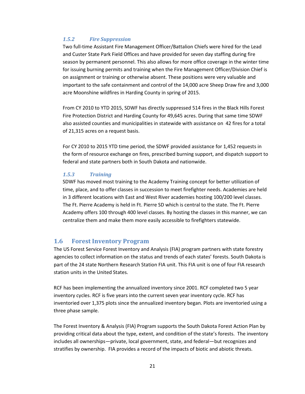#### <span id="page-20-0"></span>*1.5.2 Fire Suppression*

Two full-time Assistant Fire Management Officer/Battalion Chiefs were hired for the Lead and Custer State Park Field Offices and have provided for seven day staffing during fire season by permanent personnel. This also allows for more office coverage in the winter time for issuing burning permits and training when the Fire Management Officer/Division Chief is on assignment or training or otherwise absent. These positions were very valuable and important to the safe containment and control of the 14,000 acre Sheep Draw fire and 3,000 acre Moonshine wildfires in Harding County in spring of 2015.

From CY 2010 to YTD 2015, SDWF has directly suppressed 514 fires in the Black Hills Forest Fire Protection District and Harding County for 49,645 acres. During that same time SDWF also assisted counties and municipalities in statewide with assistance on 42 fires for a total of 21,315 acres on a request basis.

For CY 2010 to 2015 YTD time period, the SDWF provided assistance for 1,452 requests in the form of resource exchange on fires, prescribed burning support, and dispatch support to federal and state partners both in South Dakota and nationwide.

#### <span id="page-20-1"></span>*1.5.3 Training*

SDWF has moved most training to the Academy Training concept for better utilization of time, place, and to offer classes in succession to meet firefighter needs. Academies are held in 3 different locations with East and West River academies hosting 100/200 level classes. The Ft. Pierre Academy is held in Ft. Pierre SD which is central to the state. The Ft. Pierre Academy offers 100 through 400 level classes. By hosting the classes in this manner, we can centralize them and make them more easily accessible to firefighters statewide.

#### <span id="page-20-2"></span>**1.6 Forest Inventory Program**

The US Forest Service Forest Inventory and Analysis (FIA) program partners with state forestry agencies to collect information on the status and trends of each states' forests. South Dakota is part of the 24 state Northern Research Station FIA unit. This FIA unit is one of four FIA research station units in the United States.

RCF has been implementing the annualized inventory since 2001. RCF completed two 5 year inventory cycles. RCF is five years into the current seven year inventory cycle. RCF has inventoried over 1,375 plots since the annualized inventory began. Plots are inventoried using a three phase sample.

The Forest Inventory & Analysis (FIA) Program supports the South Dakota Forest Action Plan by providing critical data about the type, extent, and condition of the state's forests. The inventory includes all ownerships—private, local government, state, and federal—but recognizes and stratifies by ownership. FIA provides a record of the impacts of biotic and abiotic threats.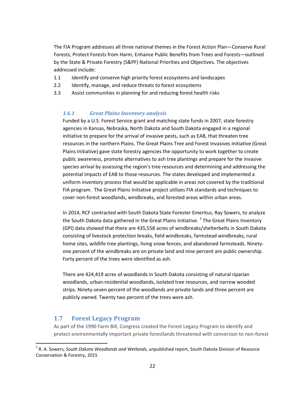The FIA Program addresses all three national themes in the Forest Action Plan—Conserve Rural Forests, Protect Forests from Harm, Enhance Public Benefits from Trees and Forests—outlined by the State & Private Forestry (S&PF) National Priorities and Objectives. The objectives addressed include:

- 1.1 Identify and conserve high priority forest ecosystems and landscapes
- 2.2 Identify, manage, and reduce threats to forest ecosystems
- <span id="page-21-0"></span>3.3 Assist communities in planning for and reducing forest health risks

#### *1.6.1 Great Plains Inventory analysis*

Funded by a U.S. Forest Service grant and matching state funds in 2007, state forestry agencies in Kansas, Nebraska, North Dakota and South Dakota engaged in a regional initiative to prepare for the arrival of invasive pests, such as EAB, that threaten tree resources in the northern Plains. The Great Plains Tree and Forest Invasives Initiative (Great Plains Initiative) gave state forestry agencies the opportunity to work together to create public awareness, promote alternatives to ash tree plantings and prepare for the invasive species arrival by assessing the region's tree resources and determining and addressing the potential impacts of EAB to those resources. The states developed and implemented a uniform inventory process that would be applicable in areas not covered by the traditional FIA program. The Great Plains Initiative project utilizes FIA standards and techniques to cover non-forest woodlands, windbreaks, and forested areas within urban areas.

In 2014, RCF contracted with South Dakota State Forester Emeritus, Ray Sowers, to analyze the South Dakota data gathered in the Great Plains Initiative.<sup>[2](#page-21-2)</sup> The Great Plains Inventory (GPI) data showed that there are 435,558 acres of windbreaks/shelterbelts in South Dakota consisting of livestock protection breaks, field windbreaks, farmstead windbreaks, rural home sites, wildlife tree plantings, living snow fences, and abandoned farmsteads. Ninetyone percent of the windbreaks are on private land and nine percent are public ownership. Forty percent of the trees were identified as ash.

There are 424,419 acres of woodlands in South Dakota consisting of natural riparian woodlands, urban-residential woodlands, isolated tree resources, and narrow wooded strips. Ninety-seven percent of the woodlands are private lands and three percent are publicly owned. Twenty two percent of the trees were ash.

#### <span id="page-21-1"></span>**1.7 Forest Legacy Program**

As part of the 1990 Farm Bill, Congress created the Forest Legacy Program to identify and protect environmentally important private forestlands threatened with conversion to non-forest

<span id="page-21-2"></span> <sup>2</sup> R. A. Sowers, *South Dakota Woodlands and Wetlands*, unpublished report, South Dakota Division of Resource Conservation & Forestry, 2015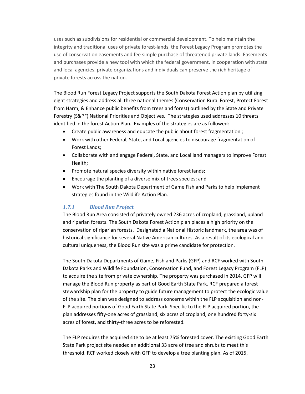uses such as subdivisions for residential or commercial development. To help maintain the integrity and traditional uses of private forest-lands, the Forest Legacy Program promotes the use of conservation easements and fee simple purchase of threatened private lands. Easements and purchases provide a new tool with which the federal government, in cooperation with state and local agencies, private organizations and individuals can preserve the rich heritage of private forests across the nation.

The Blood Run Forest Legacy Project supports the South Dakota Forest Action plan by utilizing eight strategies and address all three national themes (Conservation Rural Forest, Protect Forest from Harm, & Enhance public benefits from trees and forest) outlined by the State and Private Forestry (S&PF) National Priorities and Objectives. The strategies used addresses 10 threats identified in the forest Action Plan. Examples of the strategies are as followed:

- Create public awareness and educate the public about forest fragmentation ;
- Work with other Federal, State, and Local agencies to discourage fragmentation of Forest Lands;
- Collaborate with and engage Federal, State, and Local land managers to improve Forest Health;
- Promote natural species diversity within native forest lands;
- Encourage the planting of a diverse mix of trees species; and
- Work with The South Dakota Department of Game Fish and Parks to help implement strategies found in the Wildlife Action Plan.

#### <span id="page-22-0"></span>*1.7.1 Blood Run Project*

The Blood Run Area consisted of privately owned 236 acres of cropland, grassland, upland and riparian forests. The South Dakota Forest Action plan places a high priority on the conservation of riparian forests. Designated a National Historic landmark, the area was of historical significance for several Native American cultures. As a result of its ecological and cultural uniqueness, the Blood Run site was a prime candidate for protection.

The South Dakota Departments of Game, Fish and Parks (GFP) and RCF worked with South Dakota Parks and Wildlife Foundation, Conservation Fund, and Forest Legacy Program (FLP) to acquire the site from private ownership. The property was purchased in 2014. GFP will manage the Blood Run property as part of Good Earth State Park. RCF prepared a forest stewardship plan for the property to guide future management to protect the ecologic value of the site. The plan was designed to address concerns within the FLP acquisition and non-FLP acquired portions of Good Earth State Park. Specific to the FLP acquired portion, the plan addresses fifty-one acres of grassland, six acres of cropland, one hundred forty-six acres of forest, and thirty-three acres to be reforested.

The FLP requires the acquired site to be at least 75% forested cover. The existing Good Earth State Park project site needed an additional 33 acre of tree and shrubs to meet this threshold. RCF worked closely with GFP to develop a tree planting plan. As of 2015,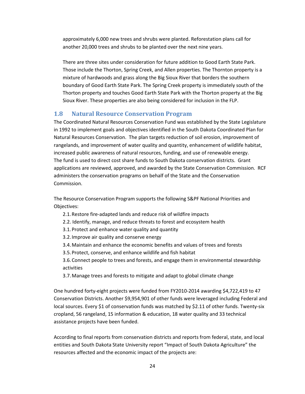approximately 6,000 new trees and shrubs were planted. Reforestation plans call for another 20,000 trees and shrubs to be planted over the next nine years.

There are three sites under consideration for future addition to Good Earth State Park. Those include the Thorton, Spring Creek, and Allen properties. The Thornton property is a mixture of hardwoods and grass along the Big Sioux River that borders the southern boundary of Good Earth State Park. The Spring Creek property is immediately south of the Thorton property and touches Good Earth State Park with the Thorton property at the Big Sioux River. These properties are also being considered for inclusion in the FLP.

#### <span id="page-23-0"></span>**1.8 Natural Resource Conservation Program**

The Coordinated Natural Resources Conservation Fund was established by the State Legislature in 1992 to implement goals and objectives identified in the South Dakota Coordinated Plan for Natural Resources Conservation. The plan targets reduction of soil erosion, improvement of rangelands, and improvement of water quality and quantity, enhancement of wildlife habitat, increased public awareness of natural resources, funding, and use of renewable energy. The fund is used to direct cost share funds to South Dakota conservation districts. Grant applications are reviewed, approved, and awarded by the State Conservation Commission. RCF administers the conservation programs on behalf of the State and the Conservation Commission.

The Resource Conservation Program supports the following S&PF National Priorities and Objectives:

- 2.1.Restore fire-adapted lands and reduce risk of wildfire impacts
- 2.2. Identify, manage, and reduce threats to forest and ecosystem health
- 3.1.Protect and enhance water quality and quantity
- 3.2.Improve air quality and conserve energy
- 3.4.Maintain and enhance the economic benefits and values of trees and forests
- 3.5.Protect, conserve, and enhance wildlife and fish habitat
- 3.6.Connect people to trees and forests, and engage them in environmental stewardship activities
- 3.7.Manage trees and forests to mitigate and adapt to global climate change

One hundred forty-eight projects were funded from FY2010-2014 awarding \$4,722,419 to 47 Conservation Districts. Another \$9,954,901 of other funds were leveraged including Federal and local sources. Every \$1 of conservation funds was matched by \$2.11 of other funds. Twenty-six cropland, 56 rangeland, 15 information & education, 18 water quality and 33 technical assistance projects have been funded.

According to final reports from conservation districts and reports from federal, state, and local entities and South Dakota State University report "Impact of South Dakota Agriculture" the resources affected and the economic impact of the projects are: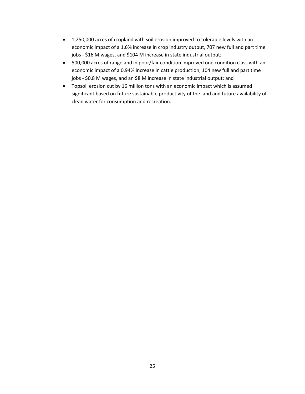- 1,250,000 acres of cropland with soil erosion improved to tolerable levels with an economic impact of a 1.6% increase in crop industry output, 707 new full and part time jobs - \$16 M wages, and \$104 M increase in state industrial output;
- 500,000 acres of rangeland in poor/fair condition improved one condition class with an economic impact of a 0.94% increase in cattle production, 104 new full and part time jobs - \$0.8 M wages, and an \$8 M increase in state industrial output; and
- Topsoil erosion cut by 16 million tons with an economic impact which is assumed significant based on future sustainable productivity of the land and future availability of clean water for consumption and recreation.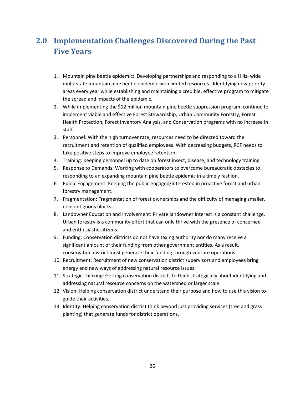### <span id="page-25-0"></span>**2.0 Implementation Challenges Discovered During the Past Five Years**

- 1. Mountain pine beetle epidemic: Developing partnerships and responding to a Hills–wide multi-state mountain pine beetle epidemic with limited resources. Identifying new priority areas every year while establishing and maintaining a credible, effective program to mitigate the spread and impacts of the epidemic.
- 2. While implementing the \$12 million mountain pine beetle suppression program, continue to implement viable and effective Forest Stewardship, Urban Community Forestry, Forest Health Protection, Forest Inventory Analysis, and Conservation programs with no increase in staff.
- 3. Personnel: With the high turnover rate, resources need to be directed toward the recruitment and retention of qualified employees. With decreasing budgets, RCF needs to take positive steps to improve employee retention.
- 4. Training: Keeping personnel up to date on forest insect, disease, and technology training.
- 5. Response to Demands: Working with cooperators to overcome bureaucratic obstacles to responding to an expanding mountain pine beetle epidemic in a timely fashion.
- 6. Public Engagement: Keeping the public engaged/interested in proactive forest and urban forestry management.
- 7. Fragmentation: Fragmentation of forest ownerships and the difficulty of managing smaller, noncontiguous blocks.
- 8. Landowner Education and Involvement: Private landowner interest is a constant challenge. Urban forestry is a community effort that can only thrive with the presence of concerned and enthusiastic citizens.
- 9. Funding: Conservation districts do not have taxing authority nor do many receive a significant amount of their funding from other government entities. As a result, conservation district must generate their funding through venture operations.
- 10. Recruitment: Recruitment of new conservation district supervisors and employees bring energy and new ways of addressing natural resource issues.
- 11. Strategic Thinking: Getting conservation districts to think strategically about identifying and addressing natural resource concerns on the watershed or larger scale.
- 12. Vision: Helping conservation district understand their purpose and how to use this vision to guide their activities.
- 13. Identity: Helping conservation district think beyond just providing services (tree and grass planting) that generate funds for district operations.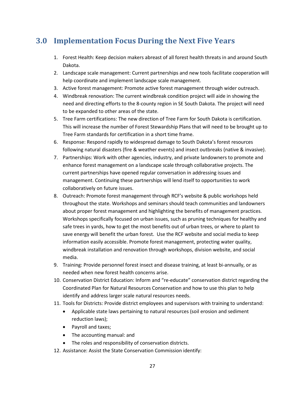### <span id="page-26-0"></span>**3.0 Implementation Focus During the Next Five Years**

- 1. Forest Health: Keep decision makers abreast of all forest health threats in and around South Dakota.
- 2. Landscape scale management: Current partnerships and new tools facilitate cooperation will help coordinate and implement landscape scale management.
- 3. Active forest management: Promote active forest management through wider outreach.
- 4. Windbreak renovation: The current windbreak condition project will aide in showing the need and directing efforts to the 8-county region in SE South Dakota. The project will need to be expanded to other areas of the state.
- 5. Tree Farm certifications: The new direction of Tree Farm for South Dakota is certification. This will increase the number of Forest Stewardship Plans that will need to be brought up to Tree Farm standards for certification in a short time frame.
- 6. Response: Respond rapidly to widespread damage to South Dakota's forest resources following natural disasters (fire & weather events) and insect outbreaks (native & invasive).
- 7. Partnerships: Work with other agencies, industry, and private landowners to promote and enhance forest management on a landscape scale through collaborative projects. The current partnerships have opened regular conversation in addressing issues and management. Continuing these partnerships will lend itself to opportunities to work collaboratively on future issues.
- 8. Outreach: Promote forest management through RCF's website & public workshops held throughout the state. Workshops and seminars should teach communities and landowners about proper forest management and highlighting the benefits of management practices. Workshops specifically focused on urban issues, such as pruning techniques for healthy and safe trees in yards, how to get the most benefits out of urban trees, or where to plant to save energy will benefit the urban forest. Use the RCF website and social media to keep information easily accessible. Promote forest management, protecting water quality, windbreak installation and renovation through workshops, division website, and social media.
- 9. Training: Provide personnel forest insect and disease training, at least bi-annually, or as needed when new forest health concerns arise.
- 10. Conservation District Education: Inform and "re-educate" conservation district regarding the Coordinated Plan for Natural Resources Conservation and how to use this plan to help identify and address larger scale natural resources needs.
- 11. Tools for Districts: Provide district employees and supervisors with training to understand:
	- Applicable state laws pertaining to natural resources (soil erosion and sediment reduction laws);
	- Payroll and taxes;
	- The accounting manual: and
	- The roles and responsibility of conservation districts.
- 12. Assistance: Assist the State Conservation Commission identify: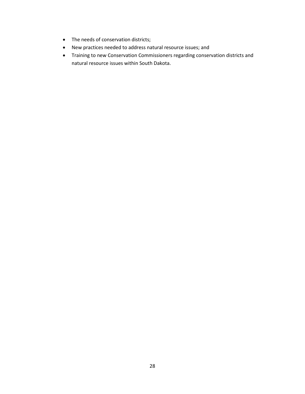- The needs of conservation districts;
- New practices needed to address natural resource issues; and
- Training to new Conservation Commissioners regarding conservation districts and natural resource issues within South Dakota.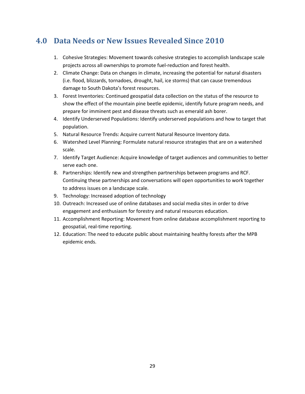### <span id="page-28-0"></span>**4.0 Data Needs or New Issues Revealed Since 2010**

- 1. Cohesive Strategies: Movement towards cohesive strategies to accomplish landscape scale projects across all ownerships to promote fuel-reduction and forest health.
- 2. Climate Change: Data on changes in climate, increasing the potential for natural disasters (i.e. flood, blizzards, tornadoes, drought, hail, ice storms) that can cause tremendous damage to South Dakota's forest resources.
- 3. Forest Inventories: Continued geospatial data collection on the status of the resource to show the effect of the mountain pine beetle epidemic, identify future program needs, and prepare for imminent pest and disease threats such as emerald ash borer.
- 4. Identify Underserved Populations: Identify underserved populations and how to target that population.
- 5. Natural Resource Trends: Acquire current Natural Resource Inventory data.
- 6. Watershed Level Planning: Formulate natural resource strategies that are on a watershed scale.
- 7. Identify Target Audience: Acquire knowledge of target audiences and communities to better serve each one.
- 8. Partnerships: Identify new and strengthen partnerships between programs and RCF. Continuing these partnerships and conversations will open opportunities to work together to address issues on a landscape scale.
- 9. Technology: Increased adoption of technology
- 10. Outreach: Increased use of online databases and social media sites in order to drive engagement and enthusiasm for forestry and natural resources education.
- 11. Accomplishment Reporting: Movement from online database accomplishment reporting to geospatial, real-time reporting.
- 12. Education: The need to educate public about maintaining healthy forests after the MPB epidemic ends.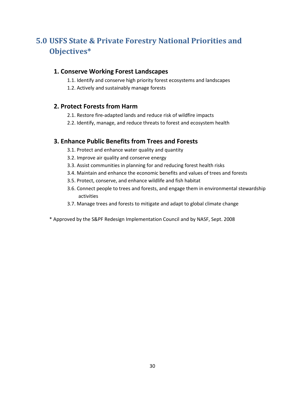### <span id="page-29-0"></span>**5.0 USFS State & Private Forestry National Priorities and Objectives\***

#### **1. Conserve Working Forest Landscapes**

- 1.1. Identify and conserve high priority forest ecosystems and landscapes
- 1.2. Actively and sustainably manage forests

#### **2. Protect Forests from Harm**

- 2.1. Restore fire-adapted lands and reduce risk of wildfire impacts
- 2.2. Identify, manage, and reduce threats to forest and ecosystem health

#### **3. Enhance Public Benefits from Trees and Forests**

- 3.1. Protect and enhance water quality and quantity
- 3.2. Improve air quality and conserve energy
- 3.3. Assist communities in planning for and reducing forest health risks
- 3.4. Maintain and enhance the economic benefits and values of trees and forests
- 3.5. Protect, conserve, and enhance wildlife and fish habitat
- 3.6. Connect people to trees and forests, and engage them in environmental stewardship activities
- 3.7. Manage trees and forests to mitigate and adapt to global climate change
- \* Approved by the S&PF Redesign Implementation Council and by NASF, Sept. 2008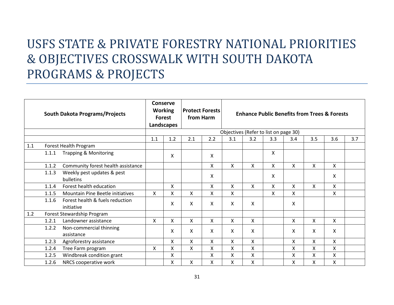# USFS STATE & PRIVATE FORESTRY NATIONAL PRIORITIES & OBJECTIVES CROSSWALK WITH SOUTH DAKOTA PROGRAMS & PROJECTS

|     | <b>South Dakota Programs/Projects</b> |                                               | <b>Conserve</b><br><b>Working</b><br><b>Forest</b><br>Landscapes |         | <b>Protect Forests</b><br>from Harm |              | <b>Enhance Public Benefits from Trees &amp; Forests</b><br>Objectives (Refer to list on page 30) |     |     |     |                           |              |     |
|-----|---------------------------------------|-----------------------------------------------|------------------------------------------------------------------|---------|-------------------------------------|--------------|--------------------------------------------------------------------------------------------------|-----|-----|-----|---------------------------|--------------|-----|
|     |                                       |                                               | 1.1                                                              | 1.2     | 2.1                                 | 2.2          | 3.1                                                                                              | 3.2 | 3.3 | 3.4 | 3.5                       | 3.6          | 3.7 |
| 1.1 |                                       | Forest Health Program                         |                                                                  |         |                                     |              |                                                                                                  |     |     |     |                           |              |     |
|     | 1.1.1                                 | <b>Trapping &amp; Monitoring</b>              |                                                                  | X       |                                     | X            |                                                                                                  |     | X   |     |                           |              |     |
|     | 1.1.2                                 | Community forest health assistance            |                                                                  |         |                                     | X            | $\sf X$                                                                                          | X   | X   | X   | $\mathsf{x}$              | X            |     |
|     | 1.1.3                                 | Weekly pest updates & pest<br>bulletins       |                                                                  |         |                                     | $\mathsf{X}$ |                                                                                                  |     | X   |     |                           | X            |     |
|     | 1.1.4                                 | Forest health education                       |                                                                  | X       |                                     | X            | X                                                                                                | X   | X   | X   | X                         | X            |     |
|     | 1.1.5                                 | Mountain Pine Beetle initiatives              | $\mathsf{X}$                                                     | X       | $\mathsf{X}$                        | X            | X                                                                                                |     | X   | X   |                           | X.           |     |
|     | 1.1.6                                 | Forest health & fuels reduction<br>initiative |                                                                  | X       | X                                   | X            | X                                                                                                | X   |     | X   |                           |              |     |
| 1.2 |                                       | Forest Stewardship Program                    |                                                                  |         |                                     |              |                                                                                                  |     |     |     |                           |              |     |
|     | 1.2.1                                 | Landowner assistance                          | X                                                                | X       | $\mathsf{X}$                        | $\mathsf{X}$ | X                                                                                                | X.  |     | X.  | X                         | $\mathsf{X}$ |     |
|     | 1.2.2                                 | Non-commercial thinning<br>assistance         |                                                                  | X       | X                                   | X            | X                                                                                                | X   |     | X   | $\boldsymbol{\mathsf{X}}$ | X            |     |
|     | 1.2.3                                 | Agroforestry assistance                       |                                                                  | X       | $\mathsf{X}$                        | $\mathsf{X}$ | X                                                                                                | X   |     | X   | $\boldsymbol{\mathsf{X}}$ | $\mathsf{X}$ |     |
|     | 1.2.4                                 | Tree Farm program                             | X                                                                | $\sf X$ | $\mathsf{x}$                        | X            | $\sf X$                                                                                          | X   |     | X   | $\mathsf{x}$              | X.           |     |
|     | 1.2.5                                 | Windbreak condition grant                     |                                                                  | X       |                                     | X            | X                                                                                                | Χ   |     | X   | $\mathsf{x}$              | X            |     |
|     | 1.2.6<br>NRCS cooperative work        |                                               |                                                                  | X       | X                                   | X            | X                                                                                                | Χ   |     | X   | X                         | X.           |     |